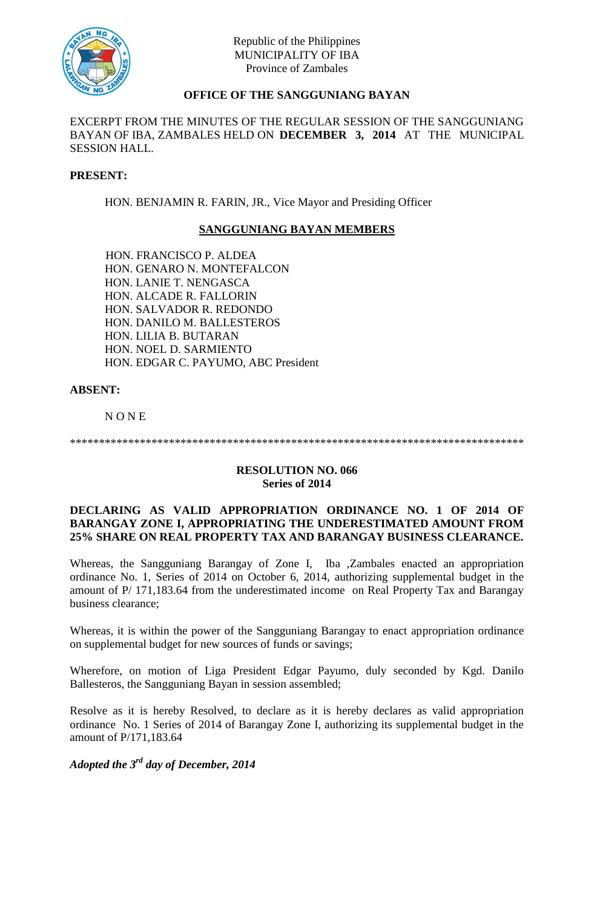

# **OFFICE OF THE SANGGUNIANG BAYAN**

EXCERPT FROM THE MINUTES OF THE REGULAR SESSION OF THE SANGGUNIANG BAYAN OF IBA, ZAMBALES HELD ON **DECEMBER 3, 2014** AT THE MUNICIPAL SESSION HALL.

## **PRESENT:**

HON. BENJAMIN R. FARIN, JR., Vice Mayor and Presiding Officer

## **SANGGUNIANG BAYAN MEMBERS**

HON. FRANCISCO P. ALDEA HON. GENARO N. MONTEFALCON HON. LANIE T. NENGASCA HON. ALCADE R. FALLORIN HON. SALVADOR R. REDONDO HON. DANILO M. BALLESTEROS HON. LILIA B. BUTARAN HON. NOEL D. SARMIENTO HON. EDGAR C. PAYUMO, ABC President

## **ABSENT:**

N O N E

\*\*\*\*\*\*\*\*\*\*\*\*\*\*\*\*\*\*\*\*\*\*\*\*\*\*\*\*\*\*\*\*\*\*\*\*\*\*\*\*\*\*\*\*\*\*\*\*\*\*\*\*\*\*\*\*\*\*\*\*\*\*\*\*\*\*\*\*\*\*\*\*\*\*\*\*\*\*

## **RESOLUTION NO. 066 Series of 2014**

## **DECLARING AS VALID APPROPRIATION ORDINANCE NO. 1 OF 2014 OF BARANGAY ZONE I, APPROPRIATING THE UNDERESTIMATED AMOUNT FROM 25% SHARE ON REAL PROPERTY TAX AND BARANGAY BUSINESS CLEARANCE.**

Whereas, the Sangguniang Barangay of Zone I, Iba ,Zambales enacted an appropriation ordinance No. 1, Series of 2014 on October 6, 2014, authorizing supplemental budget in the amount of P/ 171,183.64 from the underestimated income on Real Property Tax and Barangay business clearance;

Whereas, it is within the power of the Sangguniang Barangay to enact appropriation ordinance on supplemental budget for new sources of funds or savings;

Wherefore, on motion of Liga President Edgar Payumo, duly seconded by Kgd. Danilo Ballesteros, the Sangguniang Bayan in session assembled;

Resolve as it is hereby Resolved, to declare as it is hereby declares as valid appropriation ordinance No. 1 Series of 2014 of Barangay Zone I, authorizing its supplemental budget in the amount of P/171,183.64

*Adopted the 3rd day of December, 2014*